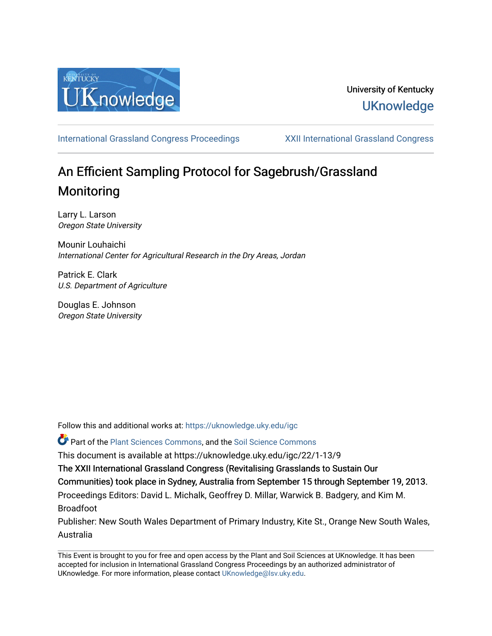

# University of Kentucky **UKnowledge**

[International Grassland Congress Proceedings](https://uknowledge.uky.edu/igc) [XXII International Grassland Congress](https://uknowledge.uky.edu/igc/22) 

# An Efficient Sampling Protocol for Sagebrush/Grassland Monitoring

Larry L. Larson Oregon State University

Mounir Louhaichi International Center for Agricultural Research in the Dry Areas, Jordan

Patrick E. Clark U.S. Department of Agriculture

Douglas E. Johnson Oregon State University

Follow this and additional works at: [https://uknowledge.uky.edu/igc](https://uknowledge.uky.edu/igc?utm_source=uknowledge.uky.edu%2Figc%2F22%2F1-13%2F9&utm_medium=PDF&utm_campaign=PDFCoverPages) 

Part of the [Plant Sciences Commons](http://network.bepress.com/hgg/discipline/102?utm_source=uknowledge.uky.edu%2Figc%2F22%2F1-13%2F9&utm_medium=PDF&utm_campaign=PDFCoverPages), and the [Soil Science Commons](http://network.bepress.com/hgg/discipline/163?utm_source=uknowledge.uky.edu%2Figc%2F22%2F1-13%2F9&utm_medium=PDF&utm_campaign=PDFCoverPages) 

This document is available at https://uknowledge.uky.edu/igc/22/1-13/9

The XXII International Grassland Congress (Revitalising Grasslands to Sustain Our

Communities) took place in Sydney, Australia from September 15 through September 19, 2013.

Proceedings Editors: David L. Michalk, Geoffrey D. Millar, Warwick B. Badgery, and Kim M. Broadfoot

Publisher: New South Wales Department of Primary Industry, Kite St., Orange New South Wales, Australia

This Event is brought to you for free and open access by the Plant and Soil Sciences at UKnowledge. It has been accepted for inclusion in International Grassland Congress Proceedings by an authorized administrator of UKnowledge. For more information, please contact [UKnowledge@lsv.uky.edu](mailto:UKnowledge@lsv.uky.edu).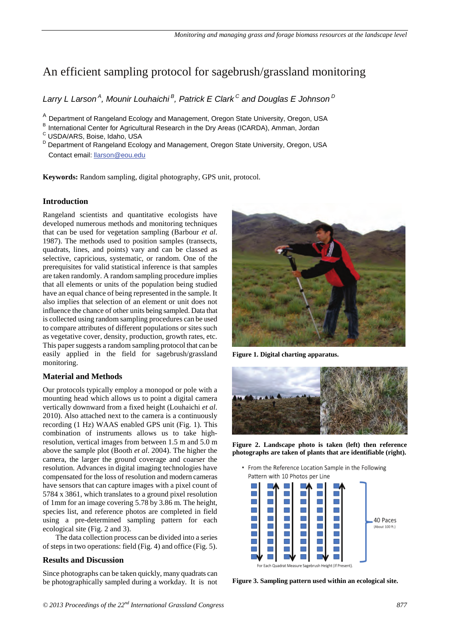## An efficient sampling protocol for sagebrush/grassland monitoring

*Larry L Larson A, Mounir Louhaichi B, Patrick E Clark C and Douglas E Johnson D* 

A Department of Rangeland Ecology and Management, Oregon State University, Oregon, USA B International Center for Agricultural Research in the Dry Areas (ICARDA), Amman, Jordan C USDA/ARS. Boise, Idaho, USA

D Department of Rangeland Ecology and Management, Oregon State University, Oregon, USA Contact email: llarson@eou.edu

**Keywords:** Random sampling, digital photography, GPS unit, protocol.

### **Introduction**

Rangeland scientists and quantitative ecologists have developed numerous methods and monitoring techniques that can be used for vegetation sampling (Barbour *et al*. 1987). The methods used to position samples (transects, quadrats, lines, and points) vary and can be classed as selective, capricious, systematic, or random. One of the prerequisites for valid statistical inference is that samples are taken randomly. A random sampling procedure implies that all elements or units of the population being studied have an equal chance of being represented in the sample. It also implies that selection of an element or unit does not influence the chance of other units being sampled. Data that is collected using random sampling procedures can be used to compare attributes of different populations or sites such as vegetative cover, density, production, growth rates, etc. This paper suggests a random sampling protocol that can be easily applied in the field for sagebrush/grassland monitoring.

### **Material and Methods**

Our protocols typically employ a monopod or pole with a mounting head which allows us to point a digital camera vertically downward from a fixed height (Louhaichi *et al*. 2010). Also attached next to the camera is a continuously recording (1 Hz) WAAS enabled GPS unit (Fig. 1). This combination of instruments allows us to take highresolution, vertical images from between 1.5 m and 5.0 m above the sample plot (Booth *et al*. 2004). The higher the camera, the larger the ground coverage and coarser the resolution. Advances in digital imaging technologies have compensated for the loss of resolution and modern cameras have sensors that can capture images with a pixel count of 5784 x 3861, which translates to a ground pixel resolution of 1mm for an image covering 5.78 by 3.86 m. The height, species list, and reference photos are completed in field using a pre-determined sampling pattern for each ecological site (Fig. 2 and 3).

The data collection process can be divided into a series of steps in two operations: field (Fig. 4) and office (Fig. 5).

## **Results and Discussion**

Since photographs can be taken quickly, many quadrats can be photographically sampled during a workday. It is not



**Figure 1. Digital charting apparatus.**



**Figure 2. Landscape photo is taken (left) then reference photographs are taken of plants that are identifiable (right).**

• From the Reference Location Sample in the Following Pattern with 10 Photos per Line



**Figure 3. Sampling pattern used within an ecological site.**